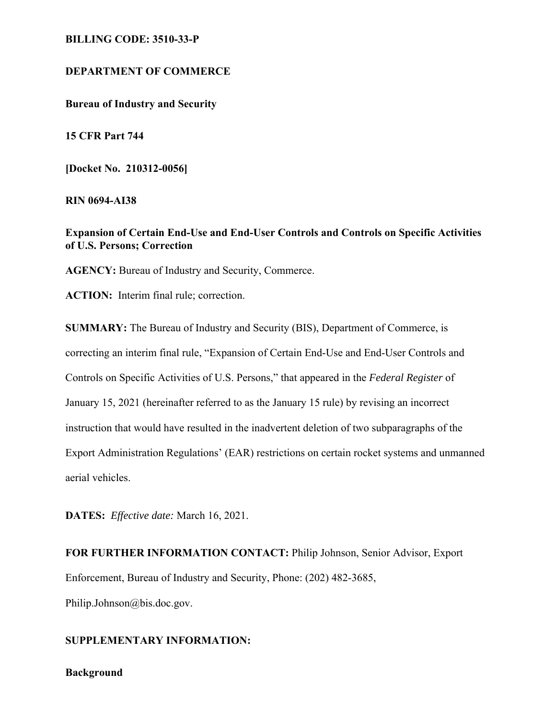#### **BILLING CODE: 3510-33-P**

## **DEPARTMENT OF COMMERCE**

**Bureau of Industry and Security** 

**15 CFR Part 744** 

**[Docket No. 210312-0056]** 

**RIN 0694-AI38**

**Expansion of Certain End-Use and End-User Controls and Controls on Specific Activities of U.S. Persons; Correction** 

**AGENCY:** Bureau of Industry and Security, Commerce.

**ACTION:** Interim final rule; correction.

**SUMMARY:** The Bureau of Industry and Security (BIS), Department of Commerce, is correcting an interim final rule, "Expansion of Certain End-Use and End-User Controls and Controls on Specific Activities of U.S. Persons," that appeared in the *Federal Register* of January 15, 2021 (hereinafter referred to as the January 15 rule) by revising an incorrect instruction that would have resulted in the inadvertent deletion of two subparagraphs of the Export Administration Regulations' (EAR) restrictions on certain rocket systems and unmanned aerial vehicles.

**DATES:** *Effective date:* March 16, 2021.

**FOR FURTHER INFORMATION CONTACT:** Philip Johnson, Senior Advisor, Export Enforcement, Bureau of Industry and Security, Phone: (202) 482-3685, Philip.Johnson@bis.doc.gov.

# **SUPPLEMENTARY INFORMATION:**

#### **Background**